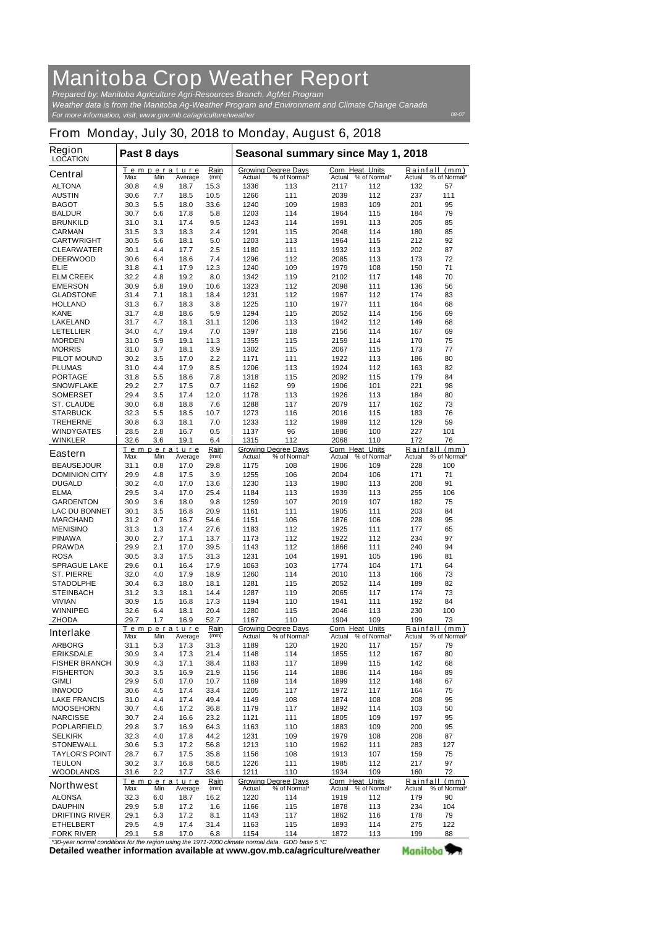## **Manitoba Crop Weather Report**

*For more information, visit: www.gov.mb.ca/agriculture/weather Prepared by: Manitoba Agriculture Agri-Resources Branch, AgMet Program Weather data is from the Manitoba Ag-Weather Program and Environment and Climate Change Canada*

*08-07*

## **From Monday, July 30, 2018 to Monday, August 6, 2018**

| <b>Region</b><br><b>LOCATION</b>                                                                       | Past 8 days                                          |            |                        |              | Seasonal summary since May 1, 2018                   |                                            |                           |                                                                                   |               |                               |
|--------------------------------------------------------------------------------------------------------|------------------------------------------------------|------------|------------------------|--------------|------------------------------------------------------|--------------------------------------------|---------------------------|-----------------------------------------------------------------------------------|---------------|-------------------------------|
| <b>Central</b>                                                                                         | Max                                                  | Min        | Temperature<br>Average | Rain<br>(mm) | <b>Actual</b>                                        | <b>Growing Degree Days</b><br>% of Normal* | Corn Heat Units<br>Actual | % of Normal*                                                                      | Actual        | Rainfall (mm)<br>% of Normal* |
| <b>ALTONA</b>                                                                                          | 30.8                                                 | 4.9        | 18.7                   | 15.3         | 1336                                                 | 113                                        | 2117                      | 112                                                                               | 132           | 57                            |
| <b>AUSTIN</b>                                                                                          | 30.6                                                 | 7.7        | 18.5                   | 10.5         | 1266                                                 | 111                                        | 2039                      | 112                                                                               | 237           | 111                           |
| <b>BAGOT</b>                                                                                           | 30.3                                                 | 5.5        | 18.0                   | 33.6         | 1240                                                 | 109                                        | 1983                      | 109                                                                               | 201           | 95                            |
| <b>BALDUR</b>                                                                                          | 30.7                                                 | 5.6        | 17.8                   | 5.8          | 1203                                                 | 114                                        | 1964                      | 115                                                                               | 184           | 79                            |
| <b>BRUNKILD</b><br><b>CARMAN</b>                                                                       | 31.0<br>31.5                                         | 3.1<br>3.3 | 17.4<br>18.3           | 9.5<br>2.4   | 1243<br>1291                                         | 114<br>115                                 | 1991<br>2048              | 113<br>114                                                                        | 205<br>180    | 85<br>85                      |
| <b>CARTWRIGHT</b>                                                                                      | 30.5                                                 | 5.6        | 18.1                   | 5.0          | 1203                                                 | 113                                        | 1964                      | 115                                                                               | 212           | 92                            |
| <b>CLEARWATER</b>                                                                                      | 30.1                                                 | 4.4        | 17.7                   | 2.5          | 1180                                                 | 111                                        | 1932                      | 113                                                                               | 202           | 87                            |
| <b>DEERWOOD</b>                                                                                        | 30.6                                                 | 6.4        | 18.6                   | 7.4          | 1296                                                 | 112                                        | 2085                      | 113                                                                               | 173           | 72                            |
| ELIE                                                                                                   | 31.8                                                 | 4.1        | 17.9                   | 12.3         | 1240                                                 | 109                                        | 1979                      | 108                                                                               | 150           | 71                            |
| <b>ELM CREEK</b>                                                                                       | 32.2                                                 | 4.8        | 19.2                   | 8.0          | 1342                                                 | 119                                        | 2102                      | 117                                                                               | 148           | 70                            |
| <b>EMERSON</b><br><b>GLADSTONE</b>                                                                     | 30.9<br>31.4                                         | 5.8<br>7.1 | 19.0<br>18.1           | 10.6<br>18.4 | 1323<br>1231                                         | 112<br>112                                 | 2098<br>1967              | 111<br>112                                                                        | 136<br>174    | 56<br>83                      |
| <b>HOLLAND</b>                                                                                         | 31.3                                                 | 6.7        | 18.3                   | 3.8          | 1225                                                 | 110                                        | 1977                      | 111                                                                               | 164           | 68                            |
| <b>KANE</b>                                                                                            | 31.7                                                 | 4.8        | 18.6                   | 5.9          | 1294                                                 | 115                                        | 2052                      | 114                                                                               | 156           | 69                            |
| <b>LAKELAND</b>                                                                                        | 31.7                                                 | 4.7        | 18.1                   | 31.1         | 1206                                                 | 113                                        | 1942                      | 112                                                                               | 149           | 68                            |
| <b>LETELLIER</b>                                                                                       | 34.0                                                 | 4.7        | 19.4                   | 7.0          | 1397                                                 | 118                                        | 2156                      | 114                                                                               | 167           | 69                            |
| <b>MORDEN</b>                                                                                          | 31.0                                                 | 5.9        | 19.1                   | 11.3         | 1355                                                 | 115                                        | 2159                      | 114                                                                               | 170           | 75                            |
| <b>MORRIS</b>                                                                                          | 31.0                                                 | 3.7        | 18.1                   | 3.9          | 1302                                                 | 115                                        | 2067                      | 115                                                                               | 173           | 77                            |
| <b>PILOT MOUND</b>                                                                                     | 30.2                                                 | 3.5<br>4.4 | 17.0<br>17.9           | 2.2<br>8.5   | 1171                                                 | 111                                        | 1922                      | 113                                                                               | 186<br>163    | 80<br>82                      |
| <b>PLUMAS</b><br><b>PORTAGE</b>                                                                        | 31.0<br>31.8                                         | 5.5        | 18.6                   | 7.8          | 1206<br>1318                                         | 113<br>115                                 | 1924<br>2092              | 112<br>115                                                                        | 179           | 84                            |
| <b>SNOWFLAKE</b>                                                                                       | 29.2                                                 | 2.7        | 17.5                   | 0.7          | 1162                                                 | 99                                         | 1906                      | 101                                                                               | 221           | 98                            |
| <b>SOMERSET</b>                                                                                        | 29.4                                                 | 3.5        | 17.4                   | 12.0         | 1178                                                 | 113                                        | 1926                      | 113                                                                               | 184           | 80                            |
| <b>ST. CLAUDE</b>                                                                                      | 30.0                                                 | 6.8        | 18.8                   | 7.6          | 1288                                                 | 117                                        | 2079                      | 117                                                                               | 162           | 73                            |
| <b>STARBUCK</b>                                                                                        | 32.3                                                 | 5.5        | 18.5                   | 10.7         | 1273                                                 | 116                                        | 2016                      | 115                                                                               | 183           | 76                            |
| <b>TREHERNE</b>                                                                                        | 30.8                                                 | 6.3        | 18.1                   | 7.0          | 1233                                                 | 112                                        | 1989                      | 112                                                                               | 129           | 59                            |
| <b>WINDYGATES</b>                                                                                      | 28.5                                                 | 2.8        | 16.7                   | 0.5          | 1137                                                 | 96                                         | 1886                      | 100                                                                               | 227           | 101                           |
| <b>WINKLER</b>                                                                                         | 32.6                                                 | 3.6        | 19.1<br>Temperature    | 6.4<br>Rain  | 1315                                                 | 112<br><b>Growing Degree Days</b>          | 2068<br>Corn Heat Units   | 110                                                                               | 172           | 76<br>Rainfall (mm)           |
| <b>Eastern</b>                                                                                         | Max                                                  | Min        | Average                | (mm)         | Actual                                               | % of Normal*                               |                           | Actual % of Normal*                                                               | Actual        | % of Normal*                  |
| <b>BEAUSEJOUR</b>                                                                                      | 31.1                                                 | 0.8        | 17.0                   | 29.8         | 1175                                                 | 108                                        | 1906                      | 109                                                                               | 228           | 100                           |
| <b>DOMINION CITY</b>                                                                                   | 29.9                                                 | 4.8        | 17.5                   | 3.9          | 1255                                                 | 106                                        | 2004                      | 106                                                                               | 171           | 71                            |
| <b>DUGALD</b>                                                                                          | 30.2                                                 | 4.0        | 17.0                   | 13.6         | 1230                                                 | 113                                        | 1980                      | 113                                                                               | 208           | 91                            |
| <b>ELMA</b>                                                                                            | 29.5                                                 | 3.4        | 17.0                   | 25.4         | 1184                                                 | 113                                        | 1939                      | 113                                                                               | 255           | 106                           |
| <b>GARDENTON</b><br><b>LAC DU BONNET</b>                                                               | 30.9<br>30.1                                         | 3.6<br>3.5 | 18.0<br>16.8           | 9.8<br>20.9  | 1259<br>1161                                         | 107<br>111                                 | 2019<br>1905              | 107<br>111                                                                        | 182<br>203    | 75<br>84                      |
| <b>MARCHAND</b>                                                                                        | 31.2                                                 | 0.7        | 16.7                   | 54.6         | 1151                                                 | 106                                        | 1876                      | 106                                                                               | 228           | 95                            |
| <b>MENISINO</b>                                                                                        | 31.3                                                 | 1.3        | 17.4                   | 27.6         | 1183                                                 | 112                                        | 1925                      | 111                                                                               | 177           | 65                            |
| <b>PINAWA</b>                                                                                          | 30.0                                                 | 2.7        | 17.1                   | 13.7         | 1173                                                 | 112                                        | 1922                      | 112                                                                               | 234           | 97                            |
| <b>PRAWDA</b>                                                                                          | 29.9                                                 | 2.1        | 17.0                   | 39.5         | 1143                                                 | 112                                        | 1866                      | 111                                                                               | 240           | 94                            |
| <b>ROSA</b>                                                                                            | 30.5                                                 | 3.3        | 17.5                   | 31.3         | 1231                                                 | 104                                        | 1991                      | 105                                                                               | 196           | 81                            |
| <b>SPRAGUE LAKE</b>                                                                                    | 29.6                                                 | 0.1        | 16.4                   | 17.9         | 1063                                                 | 103                                        | 1774                      | 104                                                                               | 171           | 64                            |
| <b>ST. PIERRE</b><br><b>STADOLPHE</b>                                                                  | 32.0<br>30.4                                         | 4.0<br>6.3 | 17.9<br>18.0           | 18.9<br>18.1 | 1260<br>1281                                         | 114<br>115                                 | 2010<br>2052              | 113<br>114                                                                        | 166<br>189    | 73<br>82                      |
| <b>STEINBACH</b>                                                                                       | 31.2                                                 | 3.3        | 18.1                   | 14.4         | 1287                                                 | 119                                        | 2065                      | 117                                                                               | 174           | 73                            |
| <b>VIVIAN</b>                                                                                          | 30.9                                                 | 1.5        | 16.8                   | 17.3         | 1194                                                 | 110                                        | 1941                      | 111                                                                               | 192           | 84                            |
| <b>WINNIPEG</b>                                                                                        | 32.6                                                 | 6.4        | 18.1                   | 20.4         | 1280                                                 | 115                                        | 2046                      | 113                                                                               | 230           | 100                           |
| <b>ZHODA</b>                                                                                           | 29.7                                                 | 1.7        | 16.9                   | 52.7         | 1167                                                 | 110                                        | 1904                      | 109                                                                               | 199           | 73                            |
| <b>Interlake</b>                                                                                       |                                                      |            | Temperature            | Rain         |                                                      | <b>Growing Degree Days</b>                 | Corn Heat Units           |                                                                                   | Rainfall      | (mm)                          |
| <b>ARBORG</b>                                                                                          | Max<br>31.1                                          | Min<br>5.3 | Average<br>17.3        | (mm)<br>31.3 | Actual<br>1189                                       | % of Normal*<br>120                        | Actual<br>1920            | % of Normal*<br>117                                                               | Actual<br>157 | % of Normal*<br>79            |
| <b>ERIKSDALE</b>                                                                                       | 30.9                                                 | 3.4        | 17.3                   | 21.4         | 1148                                                 | 114                                        | 1855                      | 112                                                                               | 167           | 80                            |
| <b>FISHER BRANCH</b>                                                                                   | 30.9                                                 | 4.3        | 17.1                   | 38.4         | 1183                                                 | 117                                        | 1899                      | 115                                                                               | 142           | 68                            |
| <b>FISHERTON</b>                                                                                       | 30.3                                                 | 3.5        | 16.9                   | 21.9         | 1156                                                 | 114                                        | 1886                      | 114                                                                               | 184           | 89                            |
| <b>GIMLI</b>                                                                                           | 29.9                                                 | 5.0        | 17.0                   | 10.7         | 1169                                                 | 114                                        | 1899                      | 112                                                                               | 148           | 67                            |
| <b>INWOOD</b>                                                                                          | 30.6                                                 | 4.5        | 17.4                   | 33.4         | 1205                                                 | 117                                        | 1972                      | 117                                                                               | 164           | 75                            |
| <b>LAKE FRANCIS</b>                                                                                    | 31.0                                                 | 4.4        | 17.4                   | 49.4         | 1149                                                 | 108                                        | 1874                      | 108                                                                               | 208           | 95                            |
| <b>MOOSEHORN</b><br><b>NARCISSE</b>                                                                    | 30.7<br>30.7                                         | 4.6<br>2.4 | 17.2<br>16.6           | 36.8<br>23.2 | 1179<br>1121                                         | 117<br>111                                 | 1892<br>1805              | 114<br>109                                                                        | 103<br>197    | 50<br>95                      |
| <b>POPLARFIELD</b>                                                                                     | 29.8                                                 | 3.7        | 16.9                   | 64.3         | 1163                                                 | 110                                        | 1883                      | 109                                                                               | 200           | 95                            |
| <b>SELKIRK</b>                                                                                         | 32.3                                                 | 4.0        | 17.8                   | 44.2         | 1231                                                 | 109                                        | 1979                      | 108                                                                               | 208           | 87                            |
| <b>STONEWALL</b>                                                                                       | 30.6                                                 | 5.3        | 17.2                   | 56.8         | 1213                                                 | 110                                        | 1962                      | 111                                                                               | 283           | 127                           |
| <b>TAYLOR'S POINT</b>                                                                                  | 28.7                                                 | 6.7        | 17.5                   | 35.8         | 1156                                                 | 108                                        | 1913                      | 107                                                                               | 159           | 75                            |
| <b>TEULON</b>                                                                                          | 30.2                                                 | 3.7        | 16.8                   | 58.5         | 1226                                                 | 111                                        | 1985                      | 112                                                                               | 217           | 97                            |
| <b>WOODLANDS</b>                                                                                       | 31.6                                                 | 2.2        | 17.7                   | 33.6         | 1211                                                 | 110                                        | 1934                      | 109                                                                               | 160           | 72                            |
| <b>Northwest</b>                                                                                       | Rain<br>Temperature<br>Max<br>Min<br>(mm)<br>Average |            |                        |              | <b>Growing Degree Days</b><br>Actual<br>% of Normal* |                                            |                           | Corn Heat Units<br>Rainfall (mm)<br>Actual % of Normal*<br>% of Normal*<br>Actual |               |                               |
| <b>ALONSA</b>                                                                                          | 32.3                                                 | 6.0        | 18.7                   | 16.2         | 1220                                                 | 114                                        | 1919                      | 112                                                                               | 179           | 90                            |
| <b>DAUPHIN</b>                                                                                         | 29.9                                                 | 5.8        | 17.2                   | 1.6          | 1166                                                 | 115                                        | 1878                      | 113                                                                               | 234           | 104                           |
| <b>DRIFTING RIVER</b>                                                                                  | 29.1                                                 | 5.3        | 17.2                   | 8.1          | 1143                                                 | 117                                        | 1862                      | 116                                                                               | 178           | 79                            |
| <b>ETHELBERT</b>                                                                                       | 29.5                                                 | 4.9        | 17.4                   | 31.4         | 1163                                                 | 115                                        | 1893                      | 114                                                                               | 275           | 122                           |
| <b>FORK RIVER</b><br>*20 year normal conditions for the region using the 1071,2000 elimate normal data | 29.1                                                 | 5.8        | 17.0                   | 6.8          | 1154                                                 | 114<br>$CDD$ has $E \, \Omega$             | 1872                      | 113                                                                               | 199           | 88                            |

**Detailed weather information available at www.gov.mb.ca/agriculture/weather** *\*30-year normal conditions for the region using the 1971-2000 climate normal data. GDD base 5 °C* Manitoba<sup>y</sup>